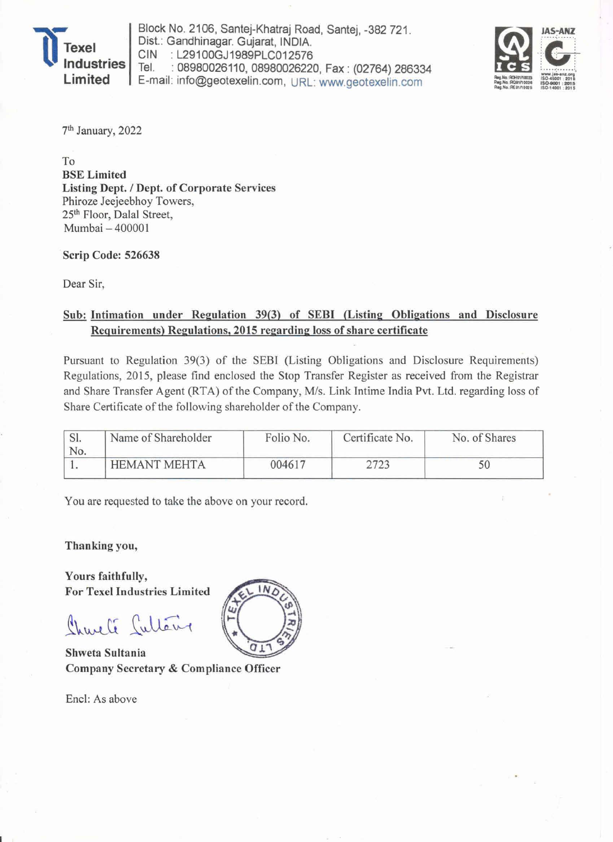

Block No. 2106, Santej-Khatraj Road, Santej, -382 721 . Dist.: Gandhinagar. Gujarat, INDIA.<br>CIN : L29100GJ1989PLC012576 CIN : L29100GJ1989PLC012576<br>Tel. : 08980026110.08980026220 : 08980026110, 08980026220, Fax: (02764) 286334 E-mail: info@geotexelin.com, URL: www.geotexelin.com



7th January, 2022

To BSE Limited Listing Dept. / Dept. of Corporate Services Phiroze Jeejeebhoy Towers, *25th* Floor, Dalal Street, Mumbai - 400001

Scrip Code: 526638

Dear Sir,

## Sub: Intimation under Regulation 39(3) of SEBI (Listing Obligations and Disclosure Requirements) Regulations, 2015 regarding loss of share certificate

Pursuant to Regulation 39(3) of the SEBI (Listing Obligations and Disclosure Requirements) Regulations, 2015, please find enclosed the Stop Transfer Register as received from the Registrar and Share Transfer Agent (RTA) of the Company, M/s. Link Intime India Pvt. Ltd. regarding loss of Share Certificate of the following shareholder of the Company.

| DI.<br>No. | Name of Shareholder | Folio No. | Certificate No. | No. of Shares |  |
|------------|---------------------|-----------|-----------------|---------------|--|
|            | <b>HEMANT MEHTA</b> | 004617    |                 |               |  |

You are requested to take the above on your record.

Thanking you,

Yours faithfully, For Texel Industries Limited

Charli Cultéry

Shweta Sultania Company Secretary & Compliance Officer

Encl: As above